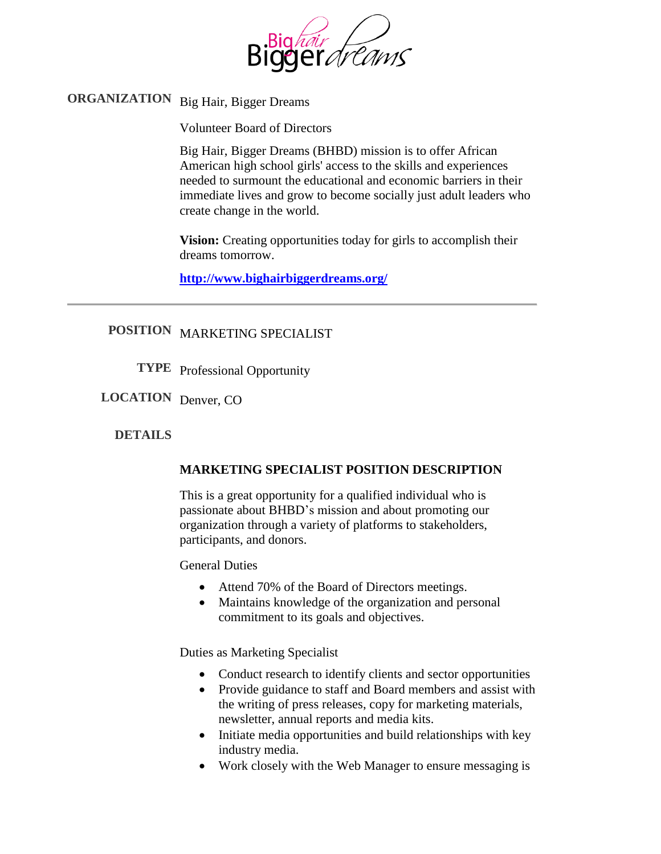

# **ORGANIZATION** Big Hair, Bigger Dreams

Volunteer Board of Directors

Big Hair, Bigger Dreams (BHBD) mission is to offer African American high school girls' access to the skills and experiences needed to surmount the educational and economic barriers in their immediate lives and grow to become socially just adult leaders who create change in the world.

**Vision:** Creating opportunities today for girls to accomplish their dreams tomorrow.

**<http://www.bighairbiggerdreams.org/>**

## **POSITION** MARKETING SPECIALIST

**TYPE** Professional Opportunity

**LOCATION** Denver, CO

#### **DETAILS**

#### **MARKETING SPECIALIST POSITION DESCRIPTION**

This is a great opportunity for a qualified individual who is passionate about BHBD's mission and about promoting our organization through a variety of platforms to stakeholders, participants, and donors.

General Duties

- Attend 70% of the Board of Directors meetings.
- Maintains knowledge of the organization and personal commitment to its goals and objectives.

Duties as Marketing Specialist

- Conduct research to identify clients and sector opportunities
- Provide guidance to staff and Board members and assist with the writing of press releases, copy for marketing materials, newsletter, annual reports and media kits.
- Initiate media opportunities and build relationships with key industry media.
- Work closely with the Web Manager to ensure messaging is